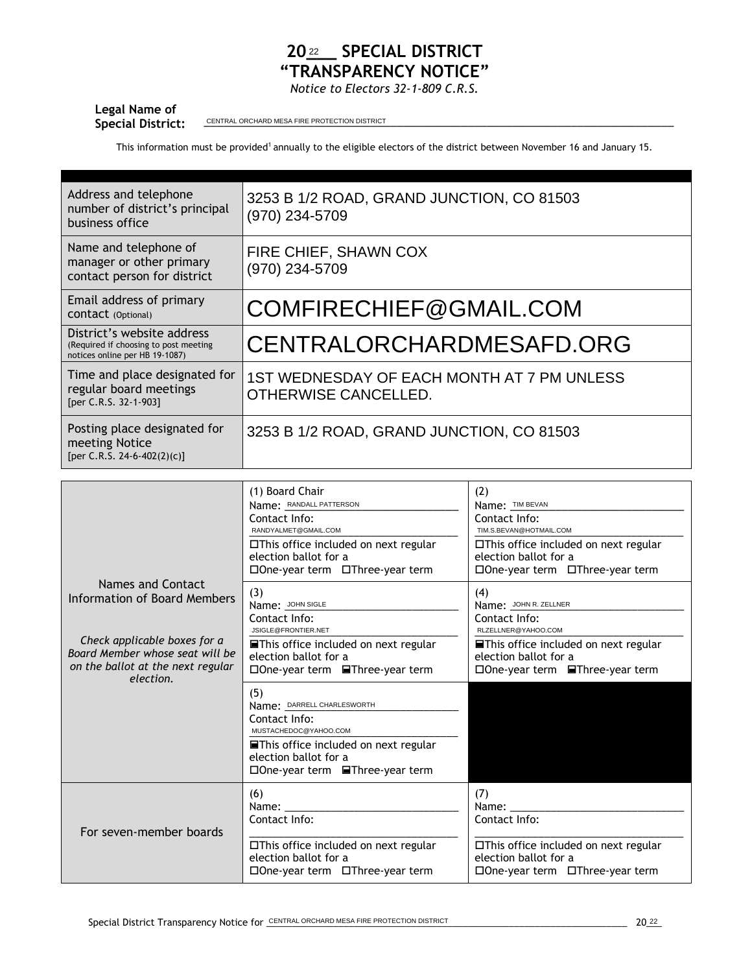## 20<sup>22</sup> SPECIAL DISTRICT **"TRANSPARENCY NOTICE"**

*Notice to Electors 32-1-809 C.R.S.*

## **Legal Name of**

Special District: <u>CENTRAL ORCHARD MESA FIRE PROTECTION DISTRICT</u>

This information must be provided<sup>1</sup> annually to the eligible electors of the district between November 16 and January 15.

| Address and telephone<br>number of district's principal<br>business office                            | 3253 B 1/2 ROAD, GRAND JUNCTION, CO 81503<br>(970) 234-5709        |
|-------------------------------------------------------------------------------------------------------|--------------------------------------------------------------------|
| Name and telephone of<br>manager or other primary<br>contact person for district                      | FIRE CHIEF, SHAWN COX<br>(970) 234-5709                            |
| Email address of primary<br>CONTACT (Optional)                                                        | COMFIRECHIEF@GMAIL.COM                                             |
| District's website address<br>(Required if choosing to post meeting<br>notices online per HB 19-1087) | CENTRALORCHARDMESAFD.ORG                                           |
| Time and place designated for<br>regular board meetings<br>[per C.R.S. 32-1-903]                      | 1ST WEDNESDAY OF EACH MONTH AT 7 PM UNLESS<br>OTHERWISE CANCELLED. |
| Posting place designated for<br>meeting Notice<br>[per C.R.S. 24-6-402(2)(c)]                         | 3253 B 1/2 ROAD, GRAND JUNCTION, CO 81503                          |

|                                                                                                                   | (1) Board Chair<br>Name: RANDALL PATTERSON<br>Contact Info:<br>RANDYALMET@GMAIL.COM<br>□This office included on next regular<br>election ballot for a<br>□One-year term □Three-year term                         | (2)<br>Name: TIM BEVAN<br>Contact Info:<br>TIM.S.BEVAN@HOTMAIL.COM<br>$\Box$ This office included on next regular<br>election ballot for a<br>□One-year term □Three-year term |
|-------------------------------------------------------------------------------------------------------------------|------------------------------------------------------------------------------------------------------------------------------------------------------------------------------------------------------------------|-------------------------------------------------------------------------------------------------------------------------------------------------------------------------------|
| Names and Contact<br><b>Information of Board Members</b>                                                          | (3)<br>Name: JOHN SIGLE<br>Contact Info:<br>JSIGLE@FRONTIER.NET                                                                                                                                                  | (4)<br>Name: JOHN R. ZELLNER<br>Contact Info:<br>RLZELLNER@YAHOO.COM                                                                                                          |
| Check applicable boxes for a<br>Board Member whose seat will be<br>on the ballot at the next regular<br>election. | <b>■This office included on next regular</b><br>election ballot for a<br>□ One-year term ■ Three-year term                                                                                                       | <b>■This office included on next regular</b><br>election ballot for a<br>□One-year term<br>■Three-year term                                                                   |
|                                                                                                                   | (5)<br>Name: DARRELL CHARLESWORTH<br>Contact Info:<br>MUSTACHEDOC@YAHOO.COM<br>$\blacksquare$ This office included on next regular<br>election ballot for a<br>$\square$ One-year term $\square$ Three-year term |                                                                                                                                                                               |
| For seven-member boards                                                                                           | (6)<br>Name:<br>Contact Info:<br>□This office included on next regular<br>election ballot for a<br>□One-year term □Three-year term                                                                               | (7)<br>Name:<br>Contact Info:<br>□This office included on next regular<br>election ballot for a<br>□One-year term □Three-year term                                            |